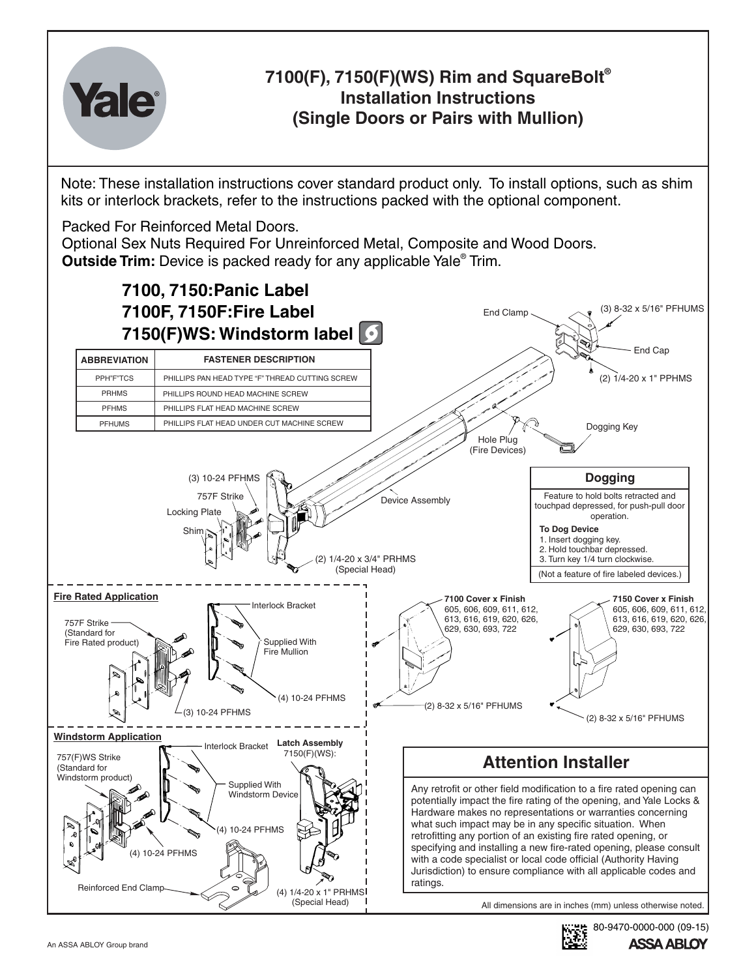

## **® 7100(F), 7150(F)(WS) Rim and SquareBolt Installation Instructions (Single Doors or Pairs with Mullion)**

Note: These installation instructions cover standard product only. To install options, such as shim kits or interlock brackets, refer to the instructions packed with the optional component.

Packed For Reinforced Metal Doors.

Optional Sex Nuts Required For Unreinforced Metal, Composite and Wood Doors. **Outside Trim:** Device is packed ready for any applicable Yale<sup>®</sup> Trim.



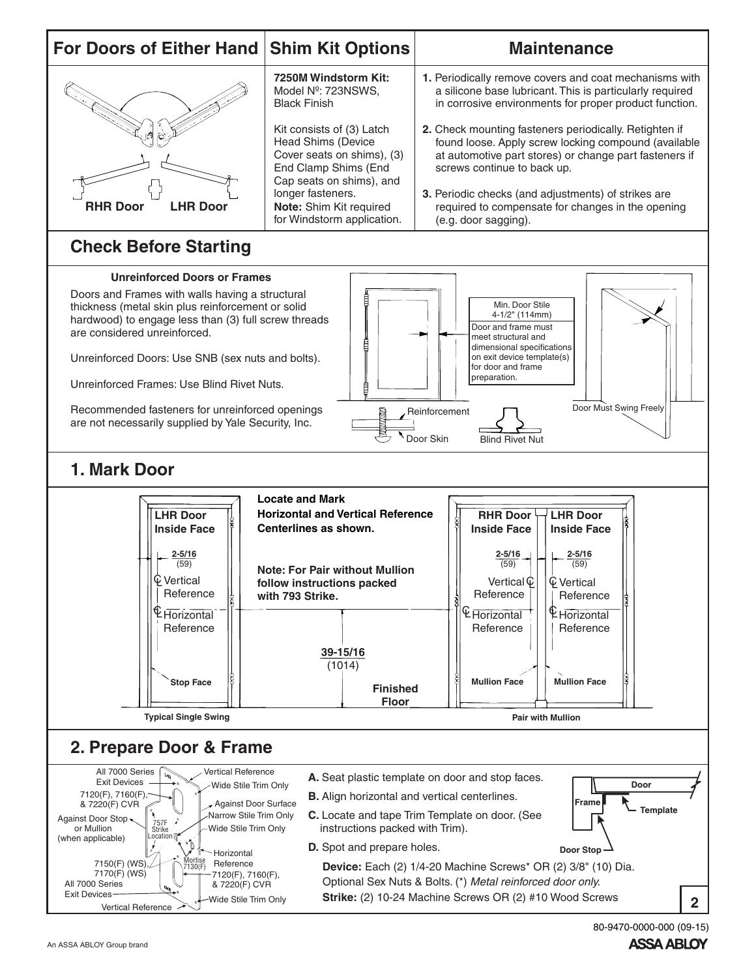

80-9470-0000-000 (09-15)**ASSA ABLOY**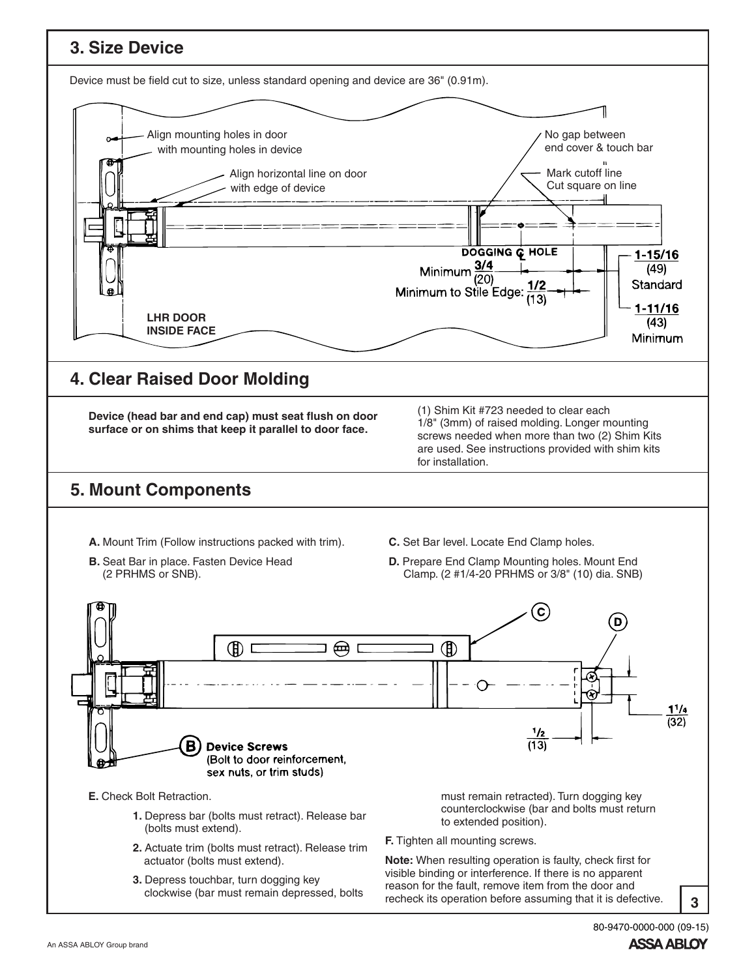